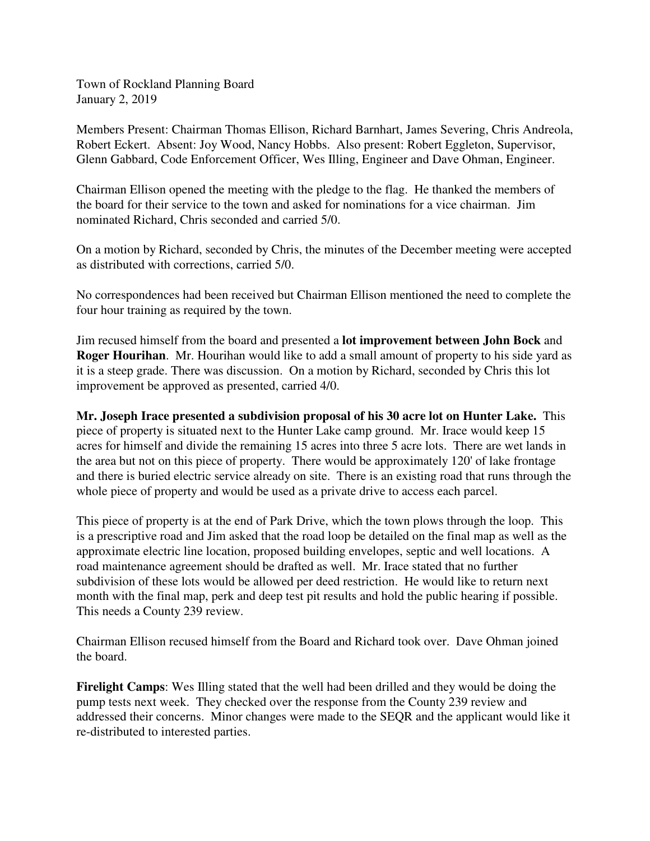Town of Rockland Planning Board January 2, 2019

Members Present: Chairman Thomas Ellison, Richard Barnhart, James Severing, Chris Andreola, Robert Eckert. Absent: Joy Wood, Nancy Hobbs. Also present: Robert Eggleton, Supervisor, Glenn Gabbard, Code Enforcement Officer, Wes Illing, Engineer and Dave Ohman, Engineer.

Chairman Ellison opened the meeting with the pledge to the flag. He thanked the members of the board for their service to the town and asked for nominations for a vice chairman. Jim nominated Richard, Chris seconded and carried 5/0.

On a motion by Richard, seconded by Chris, the minutes of the December meeting were accepted as distributed with corrections, carried 5/0.

No correspondences had been received but Chairman Ellison mentioned the need to complete the four hour training as required by the town.

Jim recused himself from the board and presented a **lot improvement between John Bock** and **Roger Hourihan**. Mr. Hourihan would like to add a small amount of property to his side yard as it is a steep grade. There was discussion. On a motion by Richard, seconded by Chris this lot improvement be approved as presented, carried 4/0.

**Mr. Joseph Irace presented a subdivision proposal of his 30 acre lot on Hunter Lake.** This piece of property is situated next to the Hunter Lake camp ground. Mr. Irace would keep 15 acres for himself and divide the remaining 15 acres into three 5 acre lots. There are wet lands in the area but not on this piece of property. There would be approximately 120' of lake frontage and there is buried electric service already on site. There is an existing road that runs through the whole piece of property and would be used as a private drive to access each parcel.

This piece of property is at the end of Park Drive, which the town plows through the loop. This is a prescriptive road and Jim asked that the road loop be detailed on the final map as well as the approximate electric line location, proposed building envelopes, septic and well locations. A road maintenance agreement should be drafted as well. Mr. Irace stated that no further subdivision of these lots would be allowed per deed restriction. He would like to return next month with the final map, perk and deep test pit results and hold the public hearing if possible. This needs a County 239 review.

Chairman Ellison recused himself from the Board and Richard took over. Dave Ohman joined the board.

**Firelight Camps**: Wes Illing stated that the well had been drilled and they would be doing the pump tests next week. They checked over the response from the County 239 review and addressed their concerns. Minor changes were made to the SEQR and the applicant would like it re-distributed to interested parties.